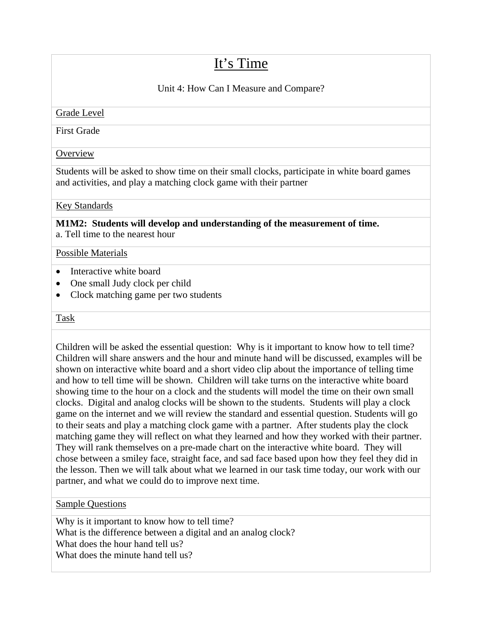# It's Time

# Unit 4: How Can I Measure and Compare?

## Grade Level

First Grade

## **Overview**

Students will be asked to show time on their small clocks, participate in white board games and activities, and play a matching clock game with their partner

## Key Standards

**M1M2: Students will develop and understanding of the measurement of time.**  a. Tell time to the nearest hour

#### Possible Materials

- Interactive white board
- One small Judy clock per child
- Clock matching game per two students

#### Task

Children will be asked the essential question: Why is it important to know how to tell time? Children will share answers and the hour and minute hand will be discussed, examples will be shown on interactive white board and a short video clip about the importance of telling time and how to tell time will be shown. Children will take turns on the interactive white board showing time to the hour on a clock and the students will model the time on their own small clocks. Digital and analog clocks will be shown to the students. Students will play a clock game on the internet and we will review the standard and essential question. Students will go to their seats and play a matching clock game with a partner. After students play the clock matching game they will reflect on what they learned and how they worked with their partner. They will rank themselves on a pre-made chart on the interactive white board. They will chose between a smiley face, straight face, and sad face based upon how they feel they did in the lesson. Then we will talk about what we learned in our task time today, our work with our partner, and what we could do to improve next time.

#### Sample Questions

Why is it important to know how to tell time? What is the difference between a digital and an analog clock? What does the hour hand tell us? What does the minute hand tell us?